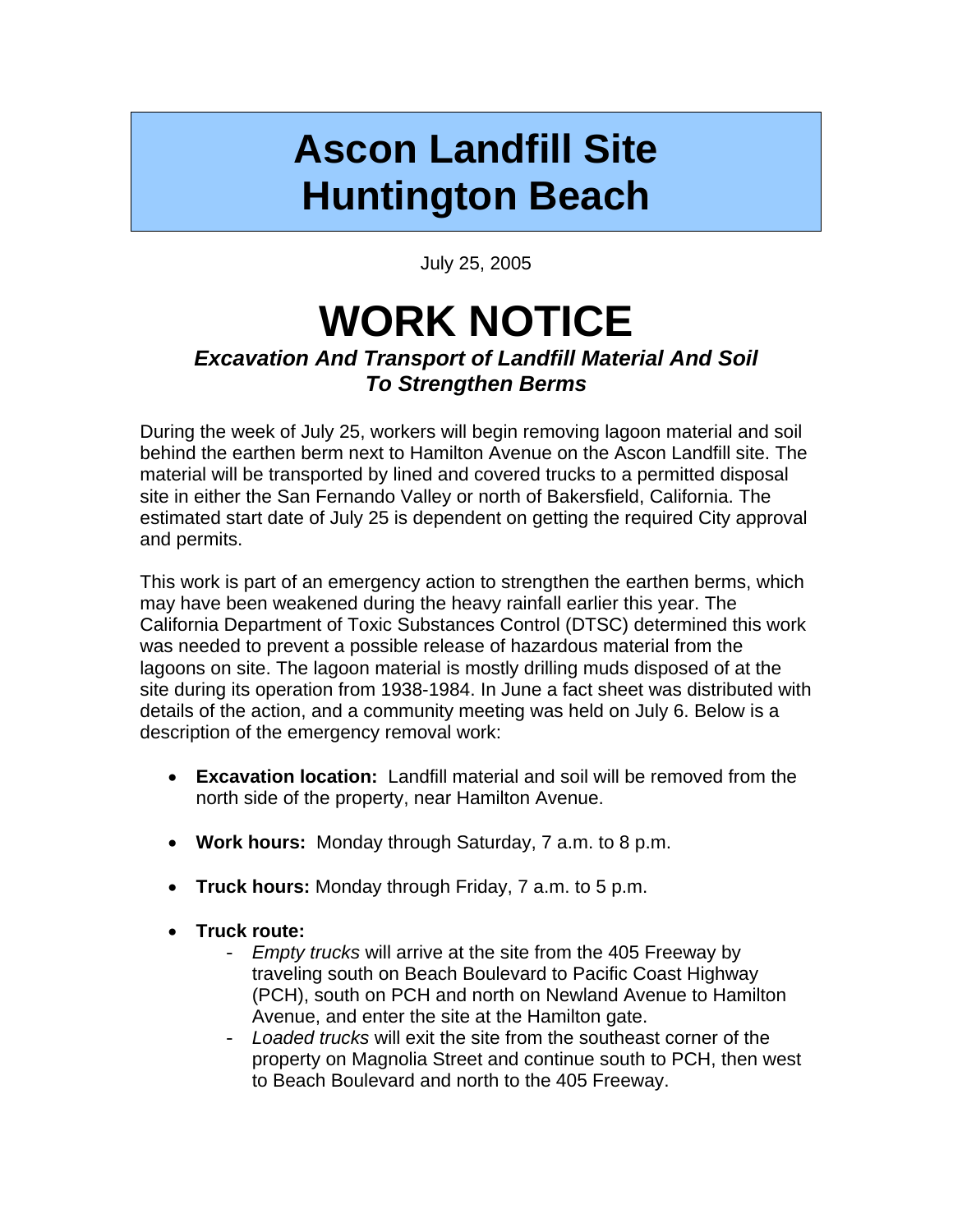## **Ascon Landfill Site Huntington Beach**

July 25, 2005

## **WORK NOTICE**  *Excavation And Transport of Landfill Material And Soil To Strengthen Berms*

During the week of July 25, workers will begin removing lagoon material and soil behind the earthen berm next to Hamilton Avenue on the Ascon Landfill site. The material will be transported by lined and covered trucks to a permitted disposal site in either the San Fernando Valley or north of Bakersfield, California. The estimated start date of July 25 is dependent on getting the required City approval and permits.

This work is part of an emergency action to strengthen the earthen berms, which may have been weakened during the heavy rainfall earlier this year. The California Department of Toxic Substances Control (DTSC) determined this work was needed to prevent a possible release of hazardous material from the lagoons on site. The lagoon material is mostly drilling muds disposed of at the site during its operation from 1938-1984. In June a fact sheet was distributed with details of the action, and a community meeting was held on July 6. Below is a description of the emergency removal work:

- **Excavation location:** Landfill material and soil will be removed from the north side of the property, near Hamilton Avenue.
- **Work hours:** Monday through Saturday, 7 a.m. to 8 p.m.
- **Truck hours:** Monday through Friday, 7 a.m. to 5 p.m.
- **Truck route:**
	- *Empty trucks* will arrive at the site from the 405 Freeway by traveling south on Beach Boulevard to Pacific Coast Highway (PCH), south on PCH and north on Newland Avenue to Hamilton Avenue, and enter the site at the Hamilton gate.
	- *Loaded trucks* will exit the site from the southeast corner of the property on Magnolia Street and continue south to PCH, then west to Beach Boulevard and north to the 405 Freeway.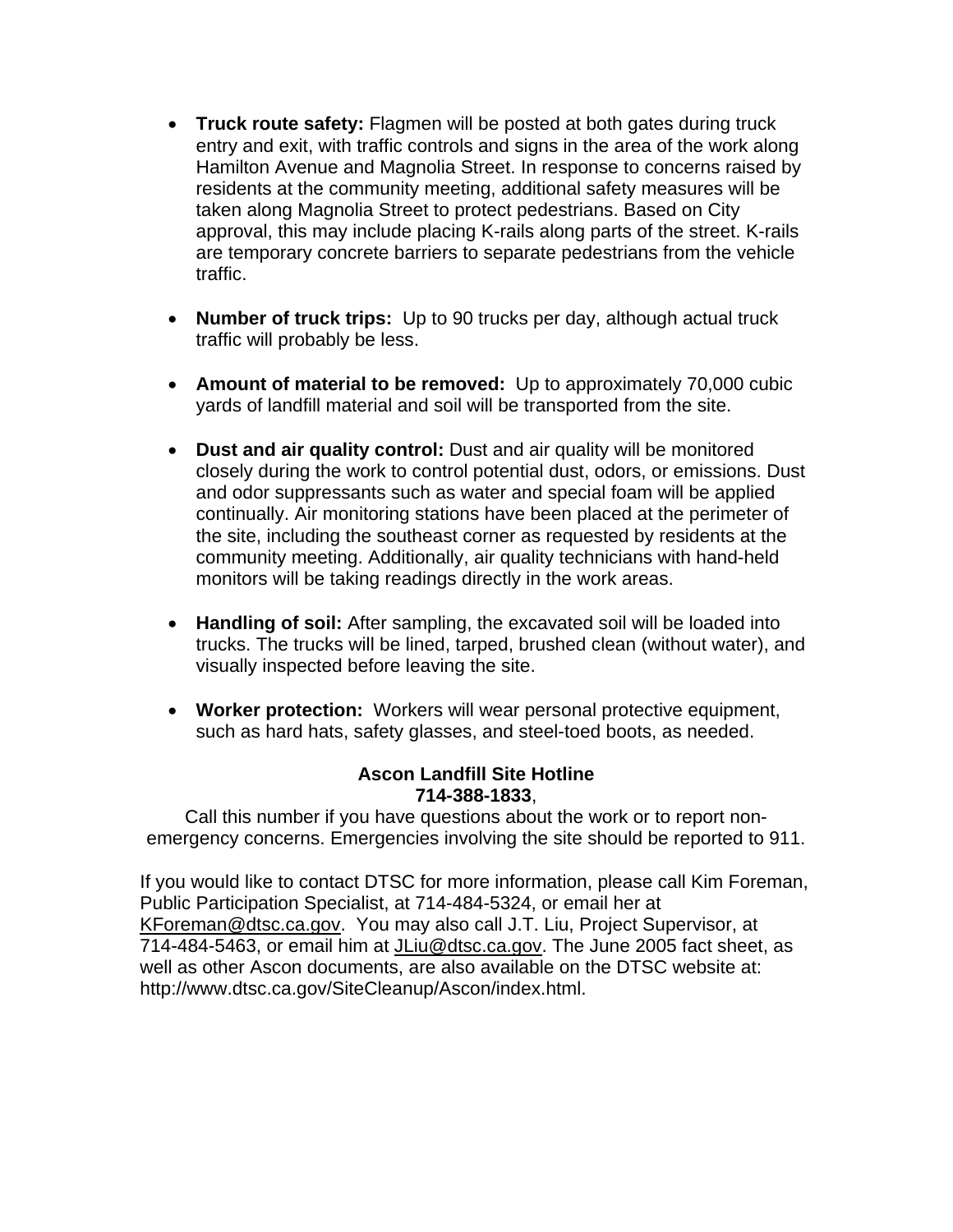- **Truck route safety:** Flagmen will be posted at both gates during truck entry and exit, with traffic controls and signs in the area of the work along Hamilton Avenue and Magnolia Street. In response to concerns raised by residents at the community meeting, additional safety measures will be taken along Magnolia Street to protect pedestrians. Based on City approval, this may include placing K-rails along parts of the street. K-rails are temporary concrete barriers to separate pedestrians from the vehicle traffic.
- **Number of truck trips:** Up to 90 trucks per day, although actual truck traffic will probably be less.
- **Amount of material to be removed:** Up to approximately 70,000 cubic yards of landfill material and soil will be transported from the site.
- **Dust and air quality control:** Dust and air quality will be monitored closely during the work to control potential dust, odors, or emissions. Dust and odor suppressants such as water and special foam will be applied continually. Air monitoring stations have been placed at the perimeter of the site, including the southeast corner as requested by residents at the community meeting. Additionally, air quality technicians with hand-held monitors will be taking readings directly in the work areas.
- **Handling of soil:** After sampling, the excavated soil will be loaded into trucks. The trucks will be lined, tarped, brushed clean (without water), and visually inspected before leaving the site.
- **Worker protection:** Workers will wear personal protective equipment, such as hard hats, safety glasses, and steel-toed boots, as needed.

## **Ascon Landfill Site Hotline 714-388-1833**,

Call this number if you have questions about the work or to report nonemergency concerns. Emergencies involving the site should be reported to 911.

If you would like to contact DTSC for more information, please call Kim Foreman, Public Participation Specialist, at 714-484-5324, or email her at KForeman@dtsc.ca.gov. You may also call J.T. Liu, Project Supervisor, at 714-484-5463, or email him at JLiu@dtsc.ca.gov. The June 2005 fact sheet, as well as other Ascon documents, are also available on the DTSC website at: http://www.dtsc.ca.gov/SiteCleanup/Ascon/index.html.